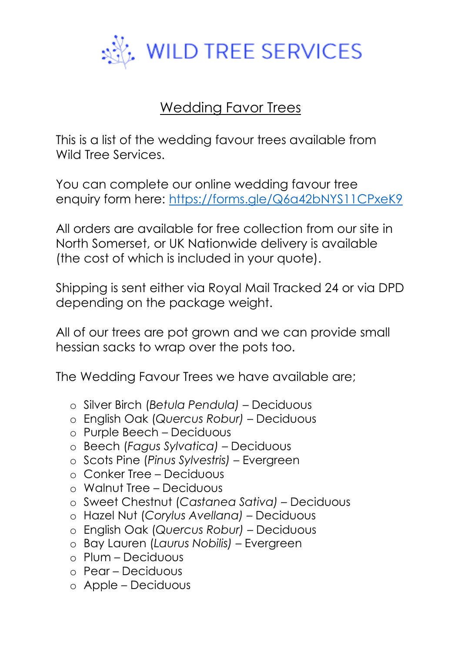

## Wedding Favor Trees

This is a list of the wedding favour trees available from Wild Tree Services.

You can complete our online wedding favour tree enquiry form here:<https://forms.gle/Q6a42bNYS11CPxeK9>

All orders are available for free collection from our site in North Somerset, or UK Nationwide delivery is available (the cost of which is included in your quote).

Shipping is sent either via Royal Mail Tracked 24 or via DPD depending on the package weight.

All of our trees are pot grown and we can provide small hessian sacks to wrap over the pots too.

The Wedding Favour Trees we have available are;

- o Silver Birch (*Betula Pendula)*  Deciduous
- o English Oak (*Quercus Robur)*  Deciduous
- o Purple Beech Deciduous
- o Beech (*Fagus Sylvatica) –* Deciduous
- o Scots Pine (*Pinus Sylvestris)* Evergreen
- o Conker Tree Deciduous
- o Walnut Tree Deciduous
- o Sweet Chestnut (*Castanea Sativa)*  Deciduous
- o Hazel Nut (*Corylus Avellana) –* Deciduous
- o English Oak (*Quercus Robur)*  Deciduous
- o Bay Lauren (*Laurus Nobilis) –* Evergreen
- o Plum Deciduous
- o Pear Deciduous
- o Apple Deciduous